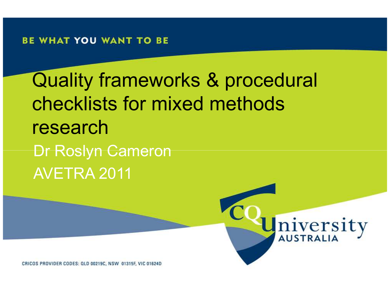#### BE WHAT YOU WANT TO BE

Quality frameworks & procedural checklists for mixed methods research Dr Roslyn CameronAVETRA 2011



CRICOS PROVIDER CODES: QLD 00219C, NSW 01315F, VIC 01624D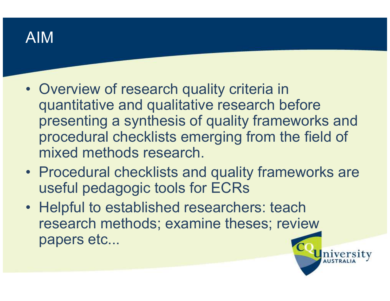

- Overview of research quality criteria in<br>Cuantitative and qualitative research he quantitative and qualitative research before presenting a synthesis of quality frameworks and procedural checklists emerging from the field of mixed methods research.
- Procedural checklists and quality frameworks are<br>useful podagogie tools for ECDs useful pedagogic tools for ECRs
- Helpful to established researchers: teach<br>research mothods: examing theses: review research methods; examine theses; review papers etc...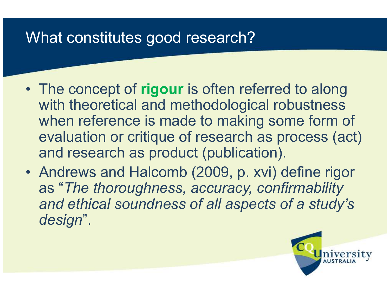#### What constitutes good research?

- The concept of **rigour** is often referred to along<br>with theoratical and mathodological rehustness with theoretical and methodological robustness when reference is made to making some form of evaluation or critique of research as process (act) and research as product (publication).
- Andrews and Halcomb (2009, p. xvi) define rigor<br>as "The thereughness acquracy confirmability as "The thoroughness, accuracy, confirmability and ethical soundness of all aspects of a study's design".

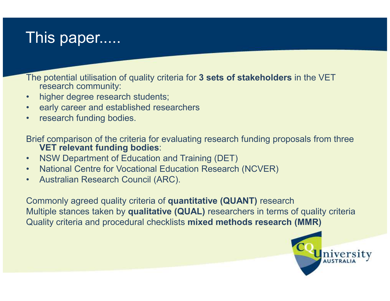#### This paper.....

The potential utilisation of quality criteria for 3 sets of stakeholders in the VET research community:

- •higher degree research students;
- •early career and established researchers
- •research funding bodies.

Brief comparison of the criteria for evaluating research funding proposals from three VET relevant funding bodies:

- •NSW Department of Education and Training (DET)
- •National Centre for Vocational Education Research (NCVER)
- •Australian Research Council (ARC).

Commonly agreed quality criteria of quantitative (QUANT) researchMultiple stances taken by **qualitative (QUAL)** researchers in terms of quality criteria Quality criteria and procedural checklists mixed methods research (MMR)

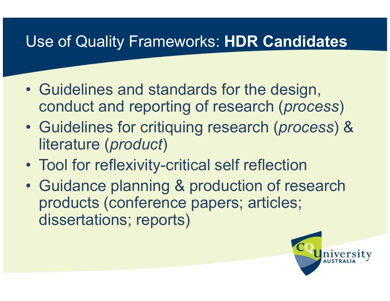### Use of Quality Frameworks: HDR Candidates

- $\bullet$ Guidelines and standards for the design, conduct and reporting of research (process)
- $\bullet$ Guidelines for critiquing research (process) & literature (*product*)
- •Tool for reflexivity-critical self reflection
- $\bullet$ Guidance planning & production of research<br>
products (conference papers: articles: products (conference papers; articles; dissertations; reports)

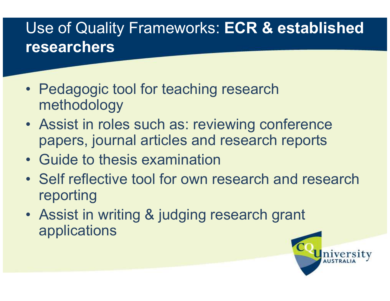### Use of Quality Frameworks: ECR & established researchers

- Pedagogic tool for teaching research<br>mothodology methodology
- Assist in roles such as: reviewing conference papers, journal articles and research reports
- Guide to thesis examination
- Self reflective tool for own research and research<br>reporting reporting
- Assist in writing & judging research grant applications

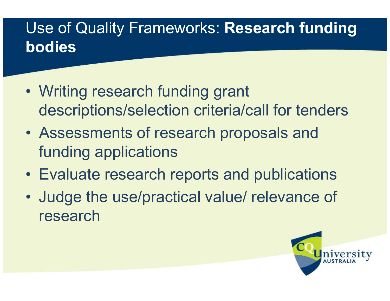# Use of Quality Frameworks: Research funding bodies

- $\bullet$ Writing research funding grant descriptions/selection criteria/call for tenders
- •Assessments of research proposals and funding applications
- Evaluate research reports and publications
- $\bullet$  Judge the use/practical value/ relevance of research

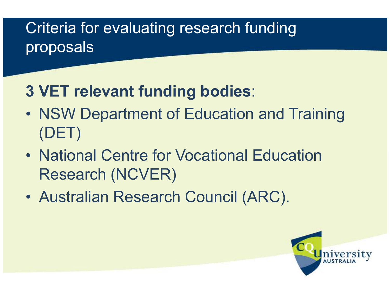## Criteria for evaluating research funding proposals

## 3 VET relevant funding bodies:

- $\bullet$  NSW Department of Education and Training (DET)
- $\bullet$ • National Centre for Vocational Education Research (NCVER)
- $\bullet$ Australian Research Council (ARC).

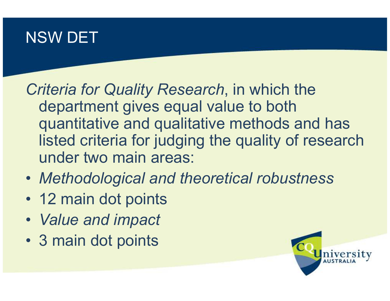#### NSW DET

Criteria for Quality Research, in which the department gives equal value to both quantitative and qualitative methods and has listed criteria for judging the quality of researchunder two main areas:

- Methodological and theoretical robustness
- 12 main dot points
- Value and impact
- 3 main dot points

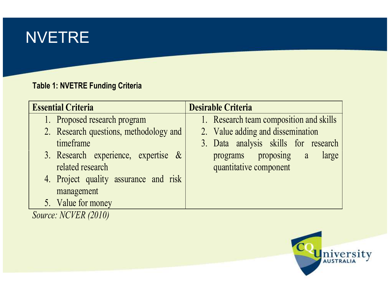### NVETRE

#### Table 1: NVETRE Funding Criteria

| <b>Essential Criteria</b>              | <b>Desirable Criteria</b>               |
|----------------------------------------|-----------------------------------------|
| 1. Proposed research program           | 1. Research team composition and skills |
| 2. Research questions, methodology and | 2. Value adding and dissemination       |
| timeframe                              | 3. Data analysis skills for research    |
| 3. Research experience, expertise $\&$ | programs proposing a<br>large           |
| related research                       | quantitative component                  |
| 4. Project quality assurance and risk  |                                         |
| management                             |                                         |
| 5. Value for money                     |                                         |



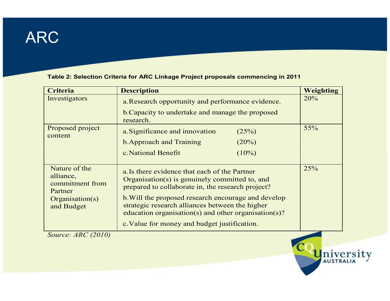#### ARC

#### Table 2: Selection Criteria for ARC Linkage Project proposals commencing in 2011

| <b>Description</b>                                                                                                                                                                                                                                                                                                                                                     | <b>Weighting</b> |
|------------------------------------------------------------------------------------------------------------------------------------------------------------------------------------------------------------------------------------------------------------------------------------------------------------------------------------------------------------------------|------------------|
| a. Research opportunity and performance evidence.                                                                                                                                                                                                                                                                                                                      | 20%              |
| b. Capacity to undertake and manage the proposed<br>research.                                                                                                                                                                                                                                                                                                          |                  |
| a. Significance and innovation<br>(25%)                                                                                                                                                                                                                                                                                                                                | 55%              |
| <b>b. Approach and Training</b><br>$(20\%)$                                                                                                                                                                                                                                                                                                                            |                  |
| c. National Benefit<br>$(10\%)$                                                                                                                                                                                                                                                                                                                                        |                  |
| a. Is there evidence that each of the Partner<br>Organisation(s) is genuinely committed to, and<br>prepared to collaborate in, the research project?<br>b. Will the proposed research encourage and develop<br>strategic research alliances between the higher<br>education organisation(s) and other organisation(s)?<br>c. Value for money and budget justification. | 25%              |
|                                                                                                                                                                                                                                                                                                                                                                        |                  |



Source: ARC (2010)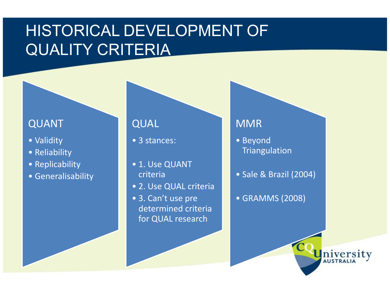### HISTORICAL DEVELOPMENT OF QUALITY CRITERIA

#### QUANT

- Validity
- Reliability
- Replicability
- Generalisability

#### QUAL

- 3 stances:
- 1. Use QUANT criteria
- 2. Use QUAL criteria
- 3. Can't use pre determined criteria for QUAL research

#### MMR

- Beyond **Triangulation**
- Sale & Brazil (2004)
- GRAMMS (2008)

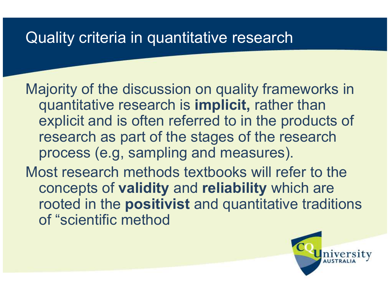#### Quality criteria in quantitative research

Majority of the discussion on quality frameworks in quantitative research is implicit, rather than explicit and is often referred to in the products of research as part of the stages of the research process (e.g, sampling and measures). Most research methods textbooks will refer to the concepts of validity and reliability which are rooted in the positivist and quantitative traditions

of "scientific method

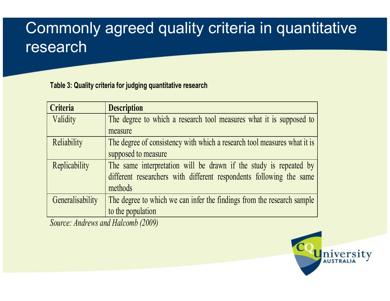### Commonly agreed quality criteria in quantitative research

#### Table 3: Quality criteria for judging quantitative research

| Criteria         | <b>Description</b>                                                       |
|------------------|--------------------------------------------------------------------------|
| Validity         | The degree to which a research tool measures what it is supposed to      |
|                  | measure                                                                  |
| Reliability      | The degree of consistency with which a research tool measures what it is |
|                  | supposed to measure                                                      |
| Replicability    | The same interpretation will be drawn if the study is repeated by        |
|                  | different researchers with different respondents following the same      |
|                  | methods                                                                  |
| Generalisability | The degree to which we can infer the findings from the research sample   |
|                  | to the population                                                        |

Source: Andrews and Halcomb (2009)

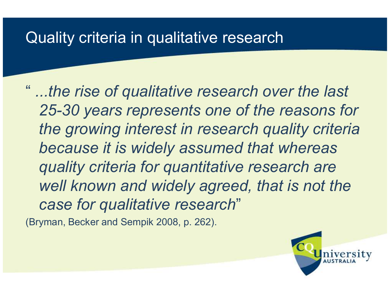#### Quality criteria in qualitative research

" ...the rise of qualitative research over the last 25-30 years represents one of the reasons for the growing interest in research quality criteria because it is widely assumed that whereas quality criteria for quantitative research are well known and widely agreed, that is not the case for qualitative research"

(Bryman, Becker and Sempik 2008, p. 262).

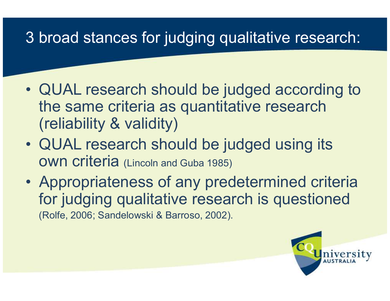# 3 broad stances for judging qualitative research:

- $\bullet$ QUAL research should be judged according to<br>the same eritoria as quantitative research the same criteria as quantitative research (reliability & validity)
- $\bullet$  QUAL research should be judged using its **OWN Criteria** (Lincoln and Guba 1985)
- $\bullet$ Appropriateness of any predetermined criteria<br>for iudaina qualitative research is questioned for judging qualitative research is questioned (Rolfe, 2006; Sandelowski & Barroso, 2002).

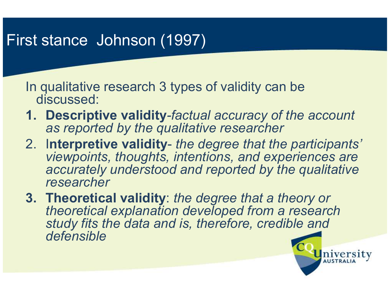#### First stance Johnson (1997)

In qualitative research 3 types of validity can be discussed:

- 1. Descriptive validity-factual accuracy of the account as reported by the qualitative researcher
- 2. Interpretive validity the degree that the participants' viewpoints, thoughts, intentions, and experiences are accurately understood and reported by the qualitative researcher

3. Theoretical validity: the degree that a theory or theoretical explanation developed from a research study fits the data and is, therefore, credible anddefensible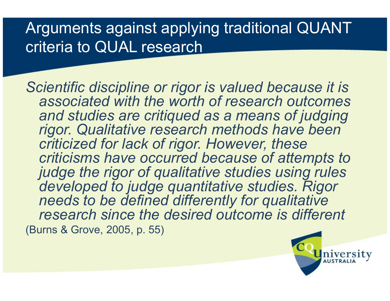### Arguments against applying traditional QUANT criteria to QUAL research

Scientific discipline or rigor is valued because it is associated with the worth of research outcomes and studies are critiqued as a means of judging rigor. Qualitative research methods have been criticized for lack of rigor. However, these criticisms have occurred because of attempts to judge the rigor of qualitative studies using rules developed to judge quantitative studies. Rigor needs to be defined differently for qualitative research since the desired outcome is different (Burns & Grove, 2005, p. 55)

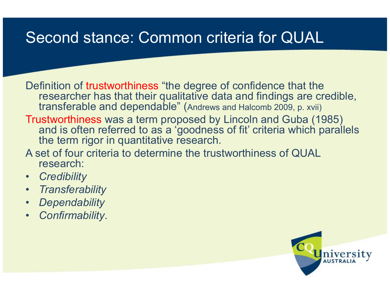### Second stance: Common criteria for QUAL

Definition of trustworthiness "the degree of confidence that the researcher has that their qualitative data and findings are credible, transferable and dependable" (Andrews and Halcomb 2009, p. xvii)

**Trustworthiness** was a term proposed by Lincoln and Guba (1985)<br>and is often referred to as a 'goodness of fit' criteria which parall. and is often referred to as a 'goodness of fit' criteria which parallels the term rigor in quantitative research.

A set of four criteria to determine the trustworthiness of QUAL research:

- $\bullet$ **Credibility**
- Transferability
- Dependability•
- Confirmability. •

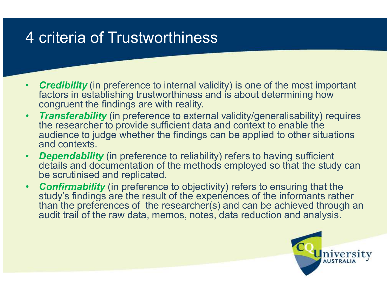#### 4 criteria of Trustworthiness

- •• Credibility (in preference to internal validity) is one of the most important foctors in octoblishing trust verthings and is obout determining how factors in establishing trustworthiness and is about determining how congruent the findings are with reality.
- Transferability (in preference to external validity/generalisability) requires  $\bullet$ the researcher to provide sufficient data and context to enable the audience to judge whether the findings can be applied to other situations and contexts.
- •• Dependability (in preference to reliability) refers to having sufficient<br>details and decumentation of the methods employed as that the stud details and documentation of the methods employed so that the study can be scrutinised and replicated.
- **Confirmability** (in preference to objectivity) refers to ensuring that the study's findings are the result of the experiences of the informants rather •study's findings are the result of the experiences of the informants rather than the preferences of the researcher(s) and can be achieved through an audit trail of the raw data, memos, notes, data reduction and analysis.

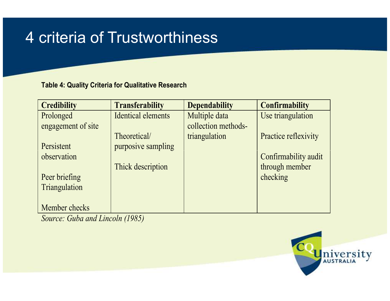#### 4 criteria of Trustworthiness

#### Table4: Quality Criteria for Qualitative Research

| <b>Credibility</b> | <b>Transferability</b>    | <b>Dependability</b> | <b>Confirmability</b> |
|--------------------|---------------------------|----------------------|-----------------------|
| Prolonged          | <b>Identical elements</b> | Multiple data        | Use triangulation     |
| engagement of site |                           | collection methods-  |                       |
|                    | Theoretical/              | triangulation        | Practice reflexivity  |
| Persistent         | purposive sampling        |                      |                       |
| observation        |                           |                      | Confirmability audit  |
|                    | Thick description         |                      | through member        |
| Peer briefing      |                           |                      | checking              |
| Triangulation      |                           |                      |                       |
|                    |                           |                      |                       |
| Member checks      |                           |                      |                       |

Source: Guba and Lincoln (1985)

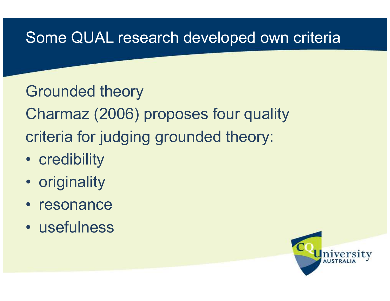#### Some QUAL research developed own criteria

Grounded theoryCharmaz (2006) proposes four quality criteria for judging grounded theory:

- credibility
- originality
- resonance
- $\bullet$ usefulness

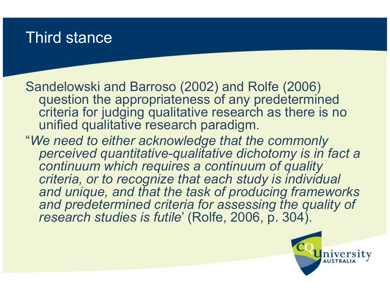#### Third stance

Sandelowski and Barroso (2002) and Rolfe (2006) question the appropriateness of any predetermined criteria for judging qualitative research as there is no unified qualitative research paradigm.

"We need to either acknowledge that the commonly perceived quantitative-qualitative dichotomy is in fact a continuum which requires a continuum of quality criteria, or to recognize that each study is individual and unique, and that the task of producing frameworks and predetermined criteria for assessing the quality of research studies is futile' (Rolfe, 2006, p. 304).

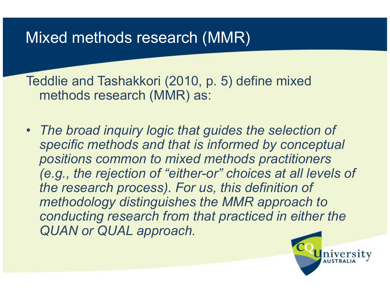#### Mixed methods research (MMR)

Teddlie and Tashakkori (2010, p. 5) define mixed methods research (MMR) as:

• The broad inquiry logic that guides the selection of specific methods and that is informed by conceptualpositions common to mixed methods practitioners (e.g., the rejection of "either-or" choices at all levels of the research process). For us, this definition of methodology distinguishes the MMR approach to conducting research from that practiced in either the QUAN or QUAL approach.

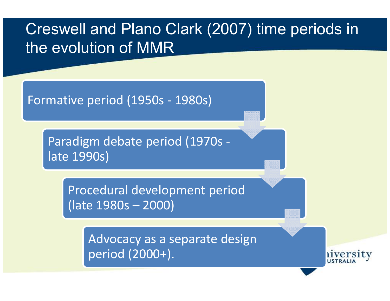#### Creswell and Plano Clark (2007) time periods in the evolution of MMR

Formative period (1950s - 1980s)

Paradigm debate period (1970s late 1990s)

> Procedural development period (late 1980s – 2000)

> > Advocacy as a separate design period (2000+).

iversity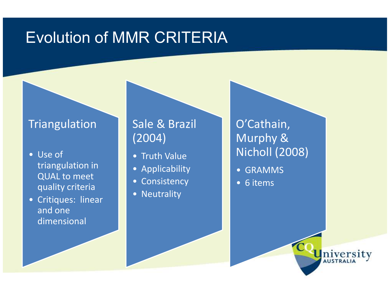#### Evolution of MMR CRITERIA

#### **Triangulation**

- Use of triangulation in QUAL to meet quality criteria
- Critiques: linear and one dimensional

#### Sale & Brazil (2004)

- Truth Value
- Applicability
- Consistency
- Neutrality

O'Cathain, Murphy & Nicholl (2008)

- GRAMMS
- 6 items

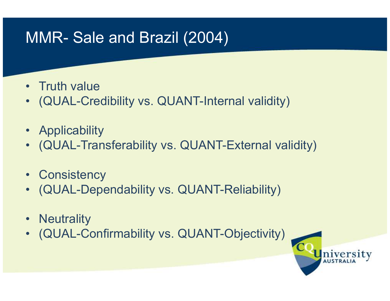### MMR- Sale and Brazil (2004)

- Truth value<br>• (OUAL Cres
- (QUAL-Credibility vs. QUANT-Internal validity)
- Applicability<br>• (OLIAL Trep:
- (QUAL-Transferability vs. QUANT-External validity)
- Consistency<br>• CollAL Dens
- (QUAL-Dependability vs. QUANT-Reliability)
- Neutrality<br>• (OLIAL Ca
- (QUAL-Confirmability vs. QUANT-Objectivity)

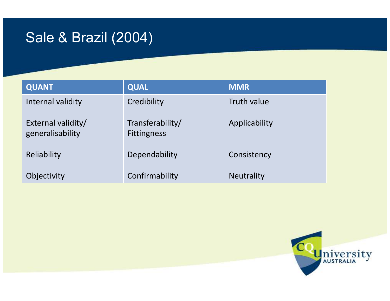#### Sale & Brazil (2004)

| <b>QUANT</b>                           | <b>QUAL</b>                            | <b>MMR</b>        |
|----------------------------------------|----------------------------------------|-------------------|
| Internal validity                      | Credibility                            | Truth value       |
| External validity/<br>generalisability | Transferability/<br><b>Fittingness</b> | Applicability     |
| Reliability                            | Dependability                          | Consistency       |
| Objectivity                            | Confirmability                         | <b>Neutrality</b> |

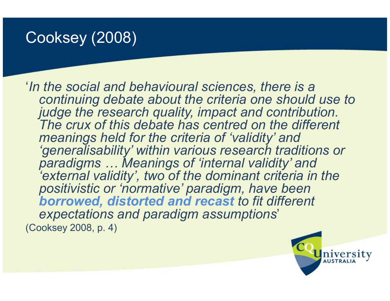### Cooksey (2008)

'In the social and behavioural sciences, there is a continuing debate about the criteria one should use to judge the research quality, impact and contribution. The crux of this debate has centred on the different meanings held for the criteria of 'validity' and 'generalisability' within various research traditions or paradigms … Meanings of 'internal validity' and 'external validity', two of the dominant criteria in the positivistic or 'normative' paradigm, have been borrowed, distorted and recast to fit different expectations and paradigm assumptions' (Cooksey 2008, p. 4)

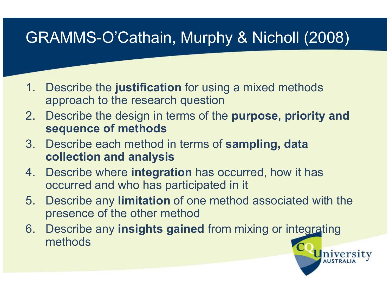# GRAMMS-O'Cathain, Murphy & Nicholl (2008)

- 1. Describe the justification for using a mixed methods approach to the research question
- 2. Describe the design in terms of the purpose, priority and sequence of methods sequence of methods
- 3. Describe each method in terms of sampling, data collection and analysis
- 4. Describe where **integration** has occurred, how it has occurred and who has participated in it
- 5. Describe any limitation of one method associated with the presence of the other method

**niversity** 

6. Describe any insights gained from mixing or integrating<br>methods methods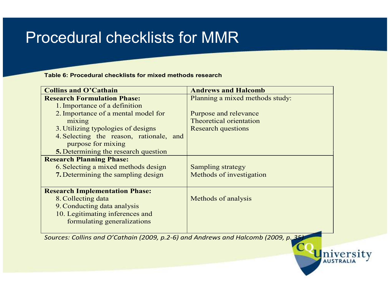#### Procedural checklists for MMR

Table 6: Procedural checklists for mixed methods research

| <b>Collins and O'Cathain</b>            | <b>Andrews and Halcomb</b>      |
|-----------------------------------------|---------------------------------|
| <b>Research Formulation Phase:</b>      | Planning a mixed methods study: |
| 1. Importance of a definition           |                                 |
| 2. Importance of a mental model for     | Purpose and relevance           |
| mixing                                  | Theoretical orientation         |
| 3. Utilizing typologies of designs      | <b>Research questions</b>       |
| 4. Selecting the reason, rationale, and |                                 |
| purpose for mixing                      |                                 |
| 5. Determining the research question    |                                 |
| <b>Research Planning Phase:</b>         |                                 |
| 6. Selecting a mixed methods design     | <b>Sampling strategy</b>        |
| 7. Determining the sampling design      | Methods of investigation        |
|                                         |                                 |
| <b>Research Implementation Phase:</b>   |                                 |
| 8. Collecting data                      | Methods of analysis             |
| 9. Conducting data analysis             |                                 |
| 10. Legitimating inferences and         |                                 |
| formulating generalizations             |                                 |
|                                         |                                 |

University

Sources: Collins and O'Cathain (2009, p.2-6) and Andrews and Halcomb (2009, p. 35)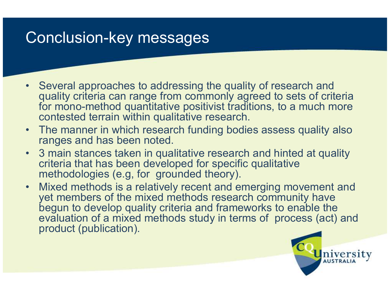#### Conclusion-key messages

- Several approaches to addressing the quality of research and<br>quality criteria can range from commonly agreed to sets of crite quality criteria can range from commonly agreed to sets of criteria for mono-method quantitative positivist traditions, to a much more contested terrain within qualitative research.
- The manner in which research funding bodies assess quality also<br>ranges and has been noted ranges and has been noted.
- 3 main stances taken in qualitative research and hinted at quality criteria that has been developed for specific qualitative methodologies (e.g, for grounded theory).
- Mixed methods is a relatively recent and emerging movement and<br>vet members of the mixed methods research community have yet members of the mixed methods research community have begun to develop quality criteria and frameworks to enable the evaluation of a mixed methods study in terms of process (act) and product (publication).

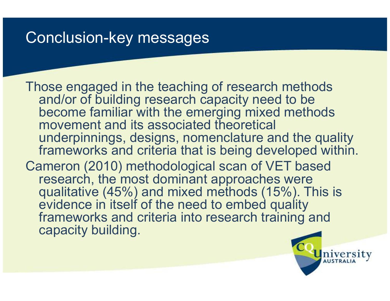#### Conclusion-key messages

Those engaged in the teaching of research methods and/or of building research capacity need to be become familiar with the emerging mixed methods movement and its associated theoretical underpinnings, designs, nomenclature and the quality frameworks and criteria that is being developed within. Cameron (2010) methodological scan of VET based research, the most dominant approaches were qualitative (45%) and mixed methods (15%). This is evidence in itself of the need to embed quality frameworks and criteria into research training and capacity building.

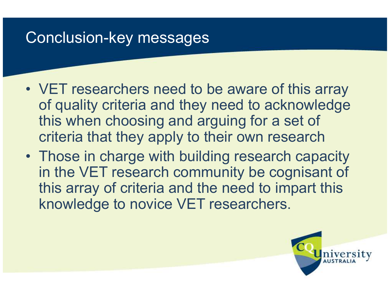#### Conclusion-key messages

- VET researchers need to be aware of this array<br>of quality eritoria and they need to acknowledge of quality criteria and they need to acknowledge this when choosing and arguing for a set of criteria that they apply to their own research
- Those in charge with building research capacity in the VET research community be cognisant of this array of criteria and the need to impart this knowledge to novice VET researchers.